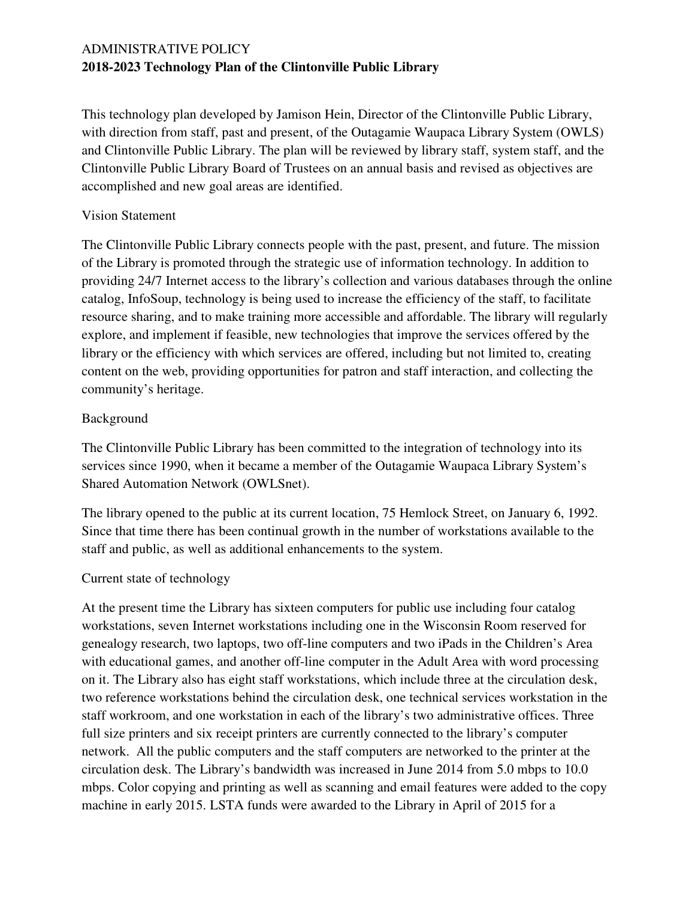This technology plan developed by Jamison Hein, Director of the Clintonville Public Library, with direction from staff, past and present, of the Outagamie Waupaca Library System (OWLS) and Clintonville Public Library. The plan will be reviewed by library staff, system staff, and the Clintonville Public Library Board of Trustees on an annual basis and revised as objectives are accomplished and new goal areas are identified.

#### Vision Statement

The Clintonville Public Library connects people with the past, present, and future. The mission of the Library is promoted through the strategic use of information technology. In addition to providing 24/7 Internet access to the library's collection and various databases through the online catalog, InfoSoup, technology is being used to increase the efficiency of the staff, to facilitate resource sharing, and to make training more accessible and affordable. The library will regularly explore, and implement if feasible, new technologies that improve the services offered by the library or the efficiency with which services are offered, including but not limited to, creating content on the web, providing opportunities for patron and staff interaction, and collecting the community's heritage.

#### Background

The Clintonville Public Library has been committed to the integration of technology into its services since 1990, when it became a member of the Outagamie Waupaca Library System's Shared Automation Network (OWLSnet).

The library opened to the public at its current location, 75 Hemlock Street, on January 6, 1992. Since that time there has been continual growth in the number of workstations available to the staff and public, as well as additional enhancements to the system.

### Current state of technology

At the present time the Library has sixteen computers for public use including four catalog workstations, seven Internet workstations including one in the Wisconsin Room reserved for genealogy research, two laptops, two off-line computers and two iPads in the Children's Area with educational games, and another off-line computer in the Adult Area with word processing on it. The Library also has eight staff workstations, which include three at the circulation desk, two reference workstations behind the circulation desk, one technical services workstation in the staff workroom, and one workstation in each of the library's two administrative offices. Three full size printers and six receipt printers are currently connected to the library's computer network. All the public computers and the staff computers are networked to the printer at the circulation desk. The Library's bandwidth was increased in June 2014 from 5.0 mbps to 10.0 mbps. Color copying and printing as well as scanning and email features were added to the copy machine in early 2015. LSTA funds were awarded to the Library in April of 2015 for a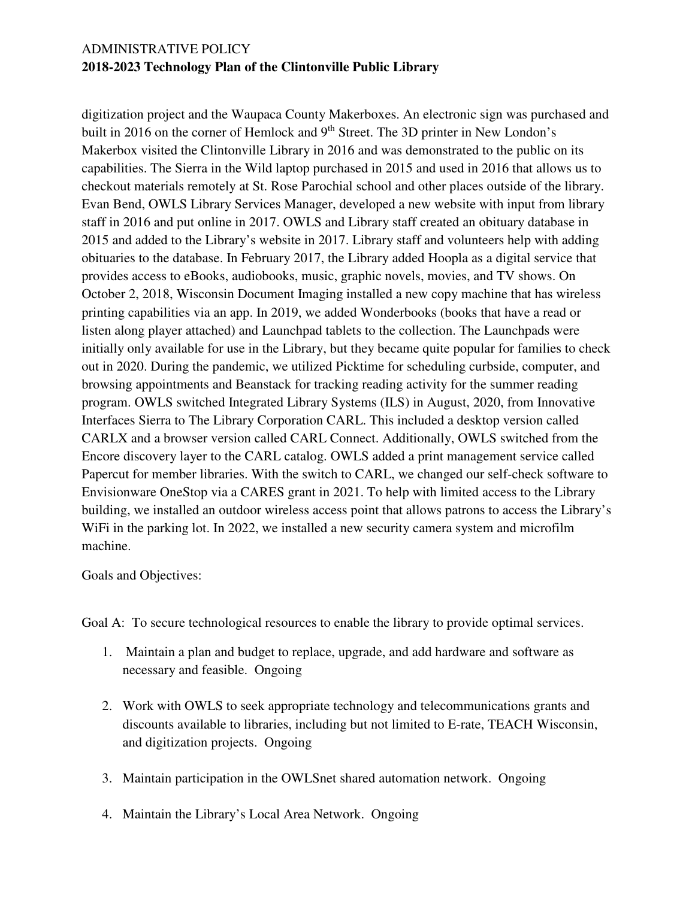digitization project and the Waupaca County Makerboxes. An electronic sign was purchased and built in 2016 on the corner of Hemlock and 9<sup>th</sup> Street. The 3D printer in New London's Makerbox visited the Clintonville Library in 2016 and was demonstrated to the public on its capabilities. The Sierra in the Wild laptop purchased in 2015 and used in 2016 that allows us to checkout materials remotely at St. Rose Parochial school and other places outside of the library. Evan Bend, OWLS Library Services Manager, developed a new website with input from library staff in 2016 and put online in 2017. OWLS and Library staff created an obituary database in 2015 and added to the Library's website in 2017. Library staff and volunteers help with adding obituaries to the database. In February 2017, the Library added Hoopla as a digital service that provides access to eBooks, audiobooks, music, graphic novels, movies, and TV shows. On October 2, 2018, Wisconsin Document Imaging installed a new copy machine that has wireless printing capabilities via an app. In 2019, we added Wonderbooks (books that have a read or listen along player attached) and Launchpad tablets to the collection. The Launchpads were initially only available for use in the Library, but they became quite popular for families to check out in 2020. During the pandemic, we utilized Picktime for scheduling curbside, computer, and browsing appointments and Beanstack for tracking reading activity for the summer reading program. OWLS switched Integrated Library Systems (ILS) in August, 2020, from Innovative Interfaces Sierra to The Library Corporation CARL. This included a desktop version called CARLX and a browser version called CARL Connect. Additionally, OWLS switched from the Encore discovery layer to the CARL catalog. OWLS added a print management service called Papercut for member libraries. With the switch to CARL, we changed our self-check software to Envisionware OneStop via a CARES grant in 2021. To help with limited access to the Library building, we installed an outdoor wireless access point that allows patrons to access the Library's WiFi in the parking lot. In 2022, we installed a new security camera system and microfilm machine.

#### Goals and Objectives:

Goal A: To secure technological resources to enable the library to provide optimal services.

- 1. Maintain a plan and budget to replace, upgrade, and add hardware and software as necessary and feasible. Ongoing
- 2. Work with OWLS to seek appropriate technology and telecommunications grants and discounts available to libraries, including but not limited to E-rate, TEACH Wisconsin, and digitization projects. Ongoing
- 3. Maintain participation in the OWLSnet shared automation network. Ongoing
- 4. Maintain the Library's Local Area Network. Ongoing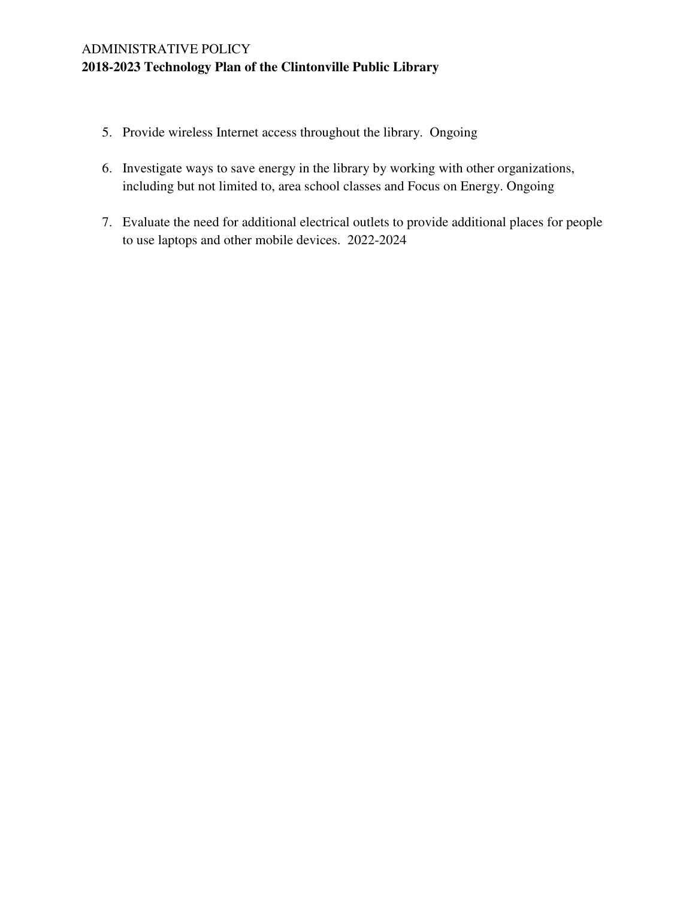- 5. Provide wireless Internet access throughout the library. Ongoing
- 6. Investigate ways to save energy in the library by working with other organizations, including but not limited to, area school classes and Focus on Energy. Ongoing
- 7. Evaluate the need for additional electrical outlets to provide additional places for people to use laptops and other mobile devices. 2022-2024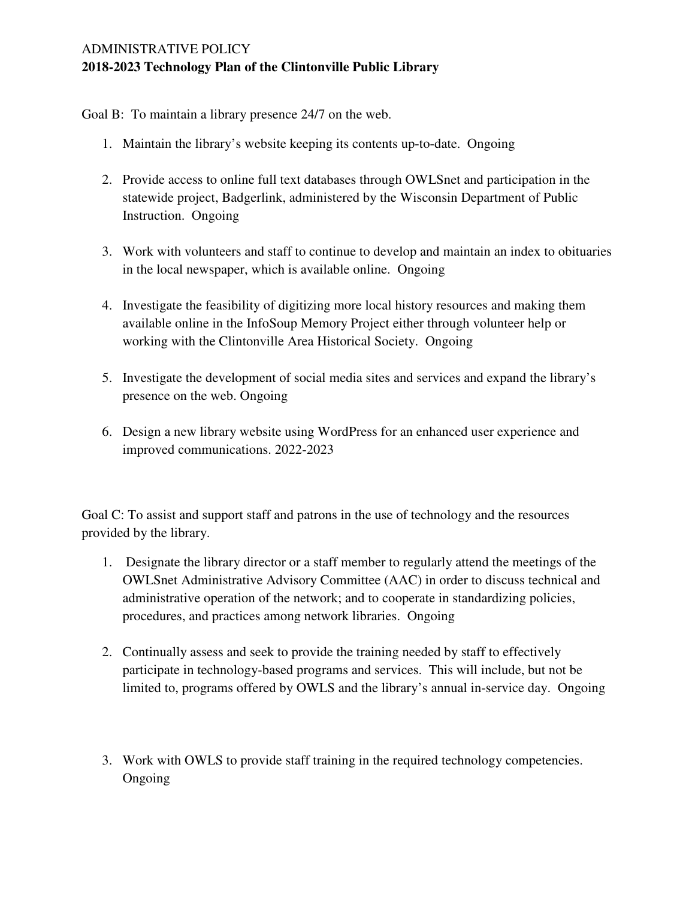Goal B: To maintain a library presence 24/7 on the web.

- 1. Maintain the library's website keeping its contents up-to-date. Ongoing
- 2. Provide access to online full text databases through OWLSnet and participation in the statewide project, Badgerlink, administered by the Wisconsin Department of Public Instruction. Ongoing
- 3. Work with volunteers and staff to continue to develop and maintain an index to obituaries in the local newspaper, which is available online. Ongoing
- 4. Investigate the feasibility of digitizing more local history resources and making them available online in the InfoSoup Memory Project either through volunteer help or working with the Clintonville Area Historical Society. Ongoing
- 5. Investigate the development of social media sites and services and expand the library's presence on the web. Ongoing
- 6. Design a new library website using WordPress for an enhanced user experience and improved communications. 2022-2023

Goal C: To assist and support staff and patrons in the use of technology and the resources provided by the library.

- 1. Designate the library director or a staff member to regularly attend the meetings of the OWLSnet Administrative Advisory Committee (AAC) in order to discuss technical and administrative operation of the network; and to cooperate in standardizing policies, procedures, and practices among network libraries. Ongoing
- 2. Continually assess and seek to provide the training needed by staff to effectively participate in technology-based programs and services. This will include, but not be limited to, programs offered by OWLS and the library's annual in-service day. Ongoing
- 3. Work with OWLS to provide staff training in the required technology competencies. Ongoing